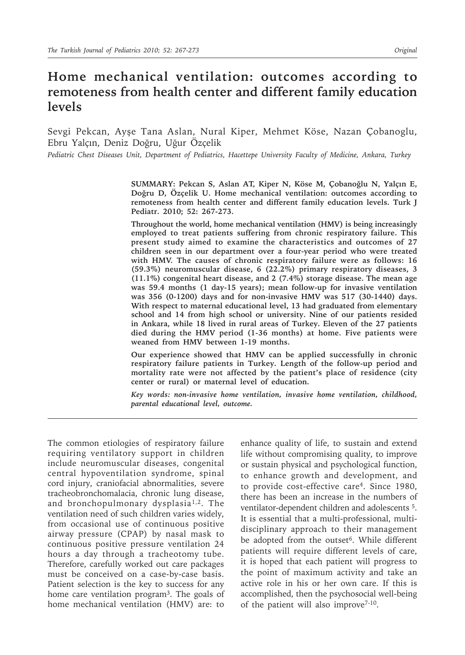# **Home mechanical ventilation: outcomes according to remoteness from health center and different family education levels**

Sevgi Pekcan, Ayşe Tana Aslan, Nural Kiper, Mehmet Köse, Nazan Çobanoglu, Ebru Yalçın, Deniz Doğru, Uğur Özçelik

*Pediatric Chest Diseases Unit, Department of Pediatrics, Hacettepe University Faculty of Medicine, Ankara, Turkey*

**SUMMARY: Pekcan S, Aslan AT, Kiper N, Köse M, Çobanoğlu N, Yalçın E, Doğru D, Özçelik U. Home mechanical ventilation: outcomes according to remoteness from health center and different family education levels. Turk J Pediatr. 2010; 52: 267-273.** 

**Throughout the world, home mechanical ventilation (HMV) is being increasingly employed to treat patients suffering from chronic respiratory failure. This present study aimed to examine the characteristics and outcomes of 27 children seen in our department over a four-year period who were treated with HMV. The causes of chronic respiratory failure were as follows: 16 (59.3%) neuromuscular disease, 6 (22.2%) primary respiratory diseases, 3 (11.1%) congenital heart disease, and 2 (7.4%) storage disease. The mean age was 59.4 months (1 day-15 years); mean follow-up for invasive ventilation was 356 (0-1200) days and for non-invasive HMV was 517 (30-1440) days. With respect to maternal educational level, 13 had graduated from elementary school and 14 from high school or university. Nine of our patients resided in Ankara, while 18 lived in rural areas of Turkey. Eleven of the 27 patients died during the HMV period (1-36 months) at home. Five patients were weaned from HMV between 1-19 months.**

**Our experience showed that HMV can be applied successfully in chronic respiratory failure patients in Turkey. Length of the follow-up period and mortality rate were not affected by the patient's place of residence (city center or rural) or maternal level of education.** 

*Key words: non-invasive home ventilation, invasive home ventilation, childhood, parental educational level, outcome.*

The common etiologies of respiratory failure requiring ventilatory support in children include neuromuscular diseases, congenital central hypoventilation syndrome, spinal cord injury, craniofacial abnormalities, severe tracheobronchomalacia, chronic lung disease, and bronchopulmonary dysplasia1,2. The ventilation need of such children varies widely, from occasional use of continuous positive airway pressure (CPAP) by nasal mask to continuous positive pressure ventilation 24 hours a day through a tracheotomy tube. Therefore, carefully worked out care packages must be conceived on a case-by-case basis. Patient selection is the key to success for any home care ventilation program<sup>3</sup>. The goals of home mechanical ventilation (HMV) are: to

enhance quality of life, to sustain and extend life without compromising quality, to improve or sustain physical and psychological function, to enhance growth and development, and to provide cost-effective care4. Since 1980, there has been an increase in the numbers of ventilator-dependent children and adolescents 5. It is essential that a multi-professional, multidisciplinary approach to their management be adopted from the outset<sup>6</sup>. While different patients will require different levels of care, it is hoped that each patient will progress to the point of maximum activity and take an active role in his or her own care. If this is accomplished, then the psychosocial well-being of the patient will also improve7-10.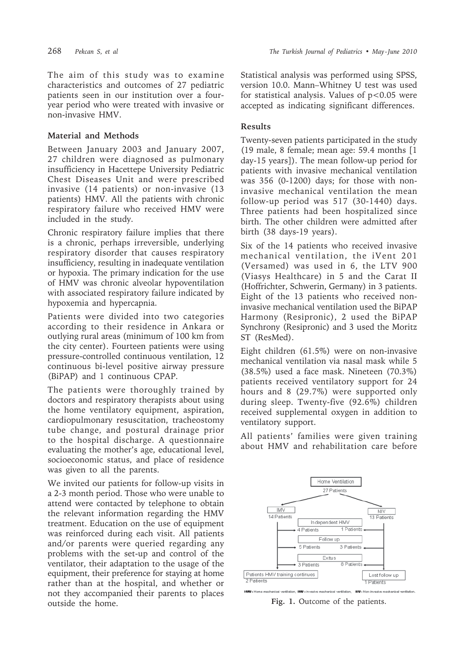The aim of this study was to examine characteristics and outcomes of 27 pediatric patients seen in our institution over a fouryear period who were treated with invasive or non-invasive HMV.

# **Material and Methods**

Between January 2003 and January 2007, 27 children were diagnosed as pulmonary insufficiency in Hacettepe University Pediatric Chest Diseases Unit and were prescribed invasive (14 patients) or non-invasive (13 patients) HMV. All the patients with chronic respiratory failure who received HMV were included in the study.

Chronic respiratory failure implies that there is a chronic, perhaps irreversible, underlying respiratory disorder that causes respiratory insufficiency, resulting in inadequate ventilation or hypoxia. The primary indication for the use of HMV was chronic alveolar hypoventilation with associated respiratory failure indicated by hypoxemia and hypercapnia.

Patients were divided into two categories according to their residence in Ankara or outlying rural areas (minimum of 100 km from the city center). Fourteen patients were using pressure-controlled continuous ventilation, 12 continuous bi-level positive airway pressure (BiPAP) and 1 continuous CPAP.

The patients were thoroughly trained by doctors and respiratory therapists about using the home ventilatory equipment, aspiration, cardiopulmonary resuscitation, tracheostomy tube change, and postural drainage prior to the hospital discharge. A questionnaire evaluating the mother's age, educational level, socioeconomic status, and place of residence was given to all the parents.

We invited our patients for follow-up visits in a 2-3 month period. Those who were unable to attend were contacted by telephone to obtain the relevant information regarding the HMV treatment. Education on the use of equipment was reinforced during each visit. All patients and/or parents were queried regarding any problems with the set-up and control of the ventilator, their adaptation to the usage of the equipment, their preference for staying at home rather than at the hospital, and whether or not they accompanied their parents to places outside the home.

Statistical analysis was performed using SPSS, version 10.0. Mann–Whitney U test was used for statistical analysis. Values of  $p < 0.05$  were accepted as indicating significant differences.

# **Results**

Twenty-seven patients participated in the study (19 male, 8 female; mean age: 59.4 months [1 day-15 years]). The mean follow-up period for patients with invasive mechanical ventilation was 356 (0-1200) days; for those with noninvasive mechanical ventilation the mean follow-up period was 517 (30-1440) days. Three patients had been hospitalized since birth. The other children were admitted after birth (38 days-19 years).

Six of the 14 patients who received invasive mechanical ventilation, the iVent 201 (Versamed) was used in 6, the LTV 900 (Viasys Healthcare) in 5 and the Carat II (Hoffrichter, Schwerin, Germany) in 3 patients. Eight of the 13 patients who received noninvasive mechanical ventilation used the BiPAP Harmony (Resipronic), 2 used the BiPAP Synchrony (Resipronic) and 3 used the Moritz ST (ResMed).

Eight children (61.5%) were on non-invasive mechanical ventilation via nasal mask while 5 (38.5%) used a face mask. Nineteen (70.3%) patients received ventilatory support for 24 hours and 8 (29.7%) were supported only during sleep. Twenty-five (92.6%) children received supplemental oxygen in addition to ventilatory support.

All patients' families were given training about HMV and rehabilitation care before



**Fig. 1.** Outcome of the patients.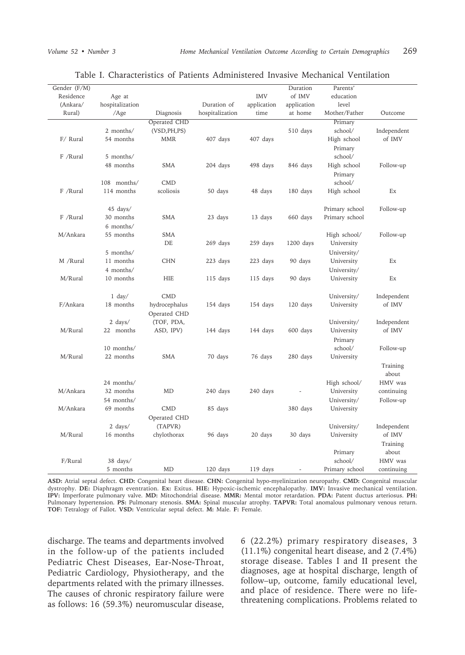| Gender (F/M) |                    |               |                 |             | Duration       | Parents'       |             |
|--------------|--------------------|---------------|-----------------|-------------|----------------|----------------|-------------|
| Residence    | Age at             |               |                 | <b>IMV</b>  | of IMV         | education      |             |
| (Ankara/     | hospitalization    |               | Duration of     | application | application    | level          |             |
| Rural)       | /Age               | Diagnosis     | hospitalization | time        | at home        | Mother/Father  | Outcome     |
|              |                    | Operated CHD  |                 |             |                | Primary        |             |
|              | 2 months/          | (VSD, PH, PS) |                 |             | 510 days       | school/        | Independent |
| F/ Rural     | 54 months          | <b>MMR</b>    | 407 days        | 407 days    |                | High school    | of IMV      |
|              |                    |               |                 |             |                | Primary        |             |
| F /Rural     | 5 months/          |               |                 |             |                | school/        |             |
|              | 48 months          | SMA           | 204 days        | 498 days    | 846 days       | High school    | Follow-up   |
|              |                    |               |                 |             |                | Primary        |             |
|              | 108 months/        | <b>CMD</b>    |                 |             |                | school/        |             |
| F /Rural     | 114 months         | scoliosis     | 50 days         | 48 days     | 180 days       | High school    | Ex          |
|              |                    |               |                 |             |                |                |             |
|              | 45 days/           |               |                 |             |                | Primary school | Follow-up   |
| F /Rural     | 30 months          | SMA           | 23 days         | 13 days     | 660 days       | Primary school |             |
|              | 6 months/          |               |                 |             |                |                |             |
| M/Ankara     | 55 months          | <b>SMA</b>    |                 |             |                | High school/   | Follow-up   |
|              |                    | DE            | 269 days        | 259 days    | 1200 days      | University     |             |
|              |                    |               |                 |             |                |                |             |
|              | 5 months/          |               |                 |             |                | University/    |             |
| M /Rural     | 11 months          | <b>CHN</b>    | 223 days        | 223 days    | 90 days        | University     | Ex          |
|              | 4 months/          |               |                 |             |                | University/    |             |
| M/Rural      | 10 months          | HIE           | 115 days        | 115 days    | 90 days        | University     | Ex          |
|              |                    |               |                 |             |                |                |             |
|              | $1$ day/           | <b>CMD</b>    |                 |             |                | University/    | Independent |
| F/Ankara     | 18 months          | hydrocephalus | 154 days        | 154 days    | 120 days       | University     | of IMV      |
|              |                    | Operated CHD  |                 |             |                |                |             |
|              | 2 days/            | (TOF, PDA,    |                 |             |                | University/    | Independent |
| M/Rural      | 22 months          | ASD, IPV)     | 144 days        | 144 days    | 600 days       | University     | of IMV      |
|              |                    |               |                 |             |                | Primary        |             |
|              | 10 months/         |               |                 |             |                | school/        | Follow-up   |
| M/Rural      | 22 months          | <b>SMA</b>    | 70 days         | 76 days     | 280 days       | University     |             |
|              |                    |               |                 |             |                |                | Training    |
|              |                    |               |                 |             |                |                | about       |
|              | 24 months/         |               |                 |             |                | High school/   | HMV was     |
| M/Ankara     | 32 months          | MD            | 240 days        | 240 days    |                | University     | continuing  |
|              | 54 months/         |               |                 |             |                | University/    | Follow-up   |
| M/Ankara     | 69 months          | <b>CMD</b>    | 85 days         |             | 380 days       | University     |             |
|              |                    | Operated CHD  |                 |             |                |                |             |
|              | $2 \text{ days} /$ | (TAPVR)       |                 |             |                | University/    | Independent |
| M/Rural      | 16 months          | chylothorax   | 96 days         | 20 days     | 30 days        | University     | of IMV      |
|              |                    |               |                 |             |                |                | Training    |
|              |                    |               |                 |             |                | Primary        | about       |
| F/Rural      | 38 days/           |               |                 |             |                | school/        | HMV was     |
|              | 5 months           | MD            | 120 days        | 119 days    | $\overline{a}$ |                |             |
|              |                    |               |                 |             |                | Primary school | continuing  |

#### Table I. Characteristics of Patients Administered Invasive Mechanical Ventilation

**ASD:** Atrial septal defect. **CHD:** Congenital heart disease. **CHN:** Congenital hypo-myelinization neuropathy. **CMD:** Congenital muscular dystrophy. **DE:** Diaphragm eventration. **Ex:** Exitus. **HIE:** Hypoxic-ischemic encephalopathy. **IMV:** Invasive mechanical ventilation. **IPV:** Imperforate pulmonary valve. **MD:** Mitochondrial disease. **MMR:** Mental motor retardation. **PDA:** Patent ductus arteriosus. **PH:** Pulmonary hypertension. **PS:** Pulmonary stenosis. **SMA:** Spinal muscular atrophy. **TAPVR:** Total anomalous pulmonary venous return. **TOF:** Tetralogy of Fallot. **VSD:** Ventricular septal defect. **M:** Male. **F:** Female.

discharge. The teams and departments involved in the follow-up of the patients included Pediatric Chest Diseases, Ear-Nose-Throat, Pediatric Cardiology, Physiotherapy, and the departments related with the primary illnesses. The causes of chronic respiratory failure were as follows: 16 (59.3%) neuromuscular disease,

6 (22.2%) primary respiratory diseases, 3 (11.1%) congenital heart disease, and 2 (7.4%) storage disease. Tables I and II present the diagnoses, age at hospital discharge, length of follow–up, outcome, family educational level, and place of residence. There were no lifethreatening complications. Problems related to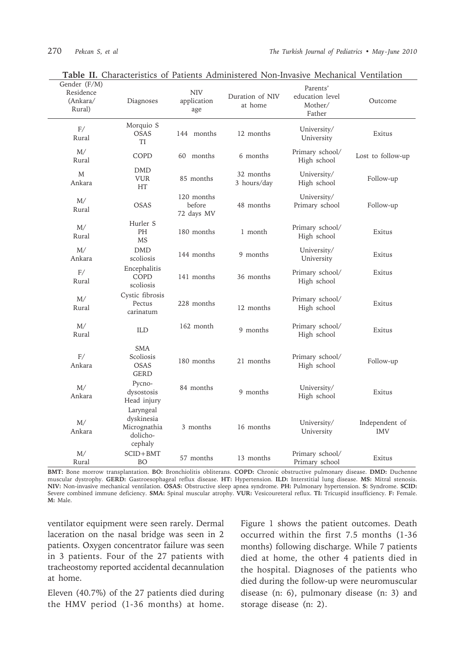| Gender (F/M)<br>Residence<br>(Ankara/<br>Rural) | Diagnoses                                                      | <b>NIV</b><br>application<br>age   | Duration of NIV<br>at home | Parents'<br>education level<br>Mother/<br>Father | Outcome                      |
|-------------------------------------------------|----------------------------------------------------------------|------------------------------------|----------------------------|--------------------------------------------------|------------------------------|
| F/<br>Rural                                     | Morquio S<br><b>OSAS</b><br>TI                                 | 144 months                         | 12 months                  | University/<br>University                        | Exitus                       |
| M/<br>Rural                                     | COPD                                                           | 60 months                          | 6 months                   | Primary school/<br>High school                   | Lost to follow-up            |
| M<br>Ankara                                     | <b>DMD</b><br><b>VUR</b><br>HT                                 | 85 months                          | 32 months<br>3 hours/day   | University/<br>High school                       | Follow-up                    |
| M/<br>Rural                                     | <b>OSAS</b>                                                    | 120 months<br>before<br>72 days MV | 48 months                  | University/<br>Primary school                    | Follow-up                    |
| M/<br>Rural                                     | Hurler S<br>PH<br><b>MS</b>                                    | 180 months                         | 1 month                    | Primary school/<br>High school                   | Exitus                       |
| M/<br>Ankara                                    | <b>DMD</b><br>scoliosis                                        | 144 months                         | 9 months                   | University/<br>University                        | Exitus                       |
| F/<br>Rural                                     | Encephalitis<br>COPD<br>scoliosis                              | 141 months                         | 36 months                  | Primary school/<br>High school                   | Exitus                       |
| M/<br>Rural                                     | Cystic fibrosis<br>Pectus<br>carinatum                         | 228 months                         | 12 months                  | Primary school/<br>High school                   | Exitus                       |
| M/<br>Rural                                     | ILD                                                            | 162 month                          | 9 months                   | Primary school/<br>High school                   | Exitus                       |
| F/<br>Ankara                                    | <b>SMA</b><br>Scoliosis<br><b>OSAS</b><br><b>GERD</b>          | 180 months                         | 21 months                  | Primary school/<br>High school                   | Follow-up                    |
| M/<br>Ankara                                    | Pycno-<br>dysostosis<br>Head injury                            | 84 months                          | 9 months                   | University/<br>High school                       | Exitus                       |
| M/<br>Ankara                                    | Laryngeal<br>dyskinesia<br>Micrognathia<br>dolicho-<br>cephaly | 3 months                           | 16 months                  | University/<br>University                        | Independent of<br><b>IMV</b> |
| M/<br>Rural                                     | $SCID + BMT$<br>BO                                             | 57 months                          | 13 months                  | Primary school/<br>Primary school                | Exitus                       |

**Table II.** Characteristics of Patients Administered Non-Invasive Mechanical Ventilation

**BMT:** Bone morrow transplantation. **BO:** Bronchiolitis obliterans. **COPD:** Chronic obstructive pulmonary disease. **DMD:** Duchenne muscular dystrophy. **GERD:** Gastroesophageal reflux disease. **HT:** Hypertension. **ILD:** Interstitial lung disease. **MS:** Mitral stenosis. **NIV:** Non-invasive mechanical ventilation. **OSAS:** Obstructive sleep apnea syndrome. **PH:** Pulmonary hypertension. **S:** Syndrome. **SCID:**  Severe combined immune deficiency. **SMA:** Spinal muscular atrophy. **VUR:** Vesicoureteral reflux. **TI:** Tricuspid insufficiency. **F:** Female. **M:** Male.

ventilator equipment were seen rarely. Dermal laceration on the nasal bridge was seen in 2 patients. Oxygen concentrator failure was seen in 3 patients. Four of the 27 patients with tracheostomy reported accidental decannulation at home.

Eleven (40.7%) of the 27 patients died during the HMV period (1-36 months) at home.

Figure 1 shows the patient outcomes. Death occurred within the first 7.5 months (1-36 months) following discharge. While 7 patients died at home, the other 4 patients died in the hospital. Diagnoses of the patients who died during the follow-up were neuromuscular disease (n: 6), pulmonary disease (n: 3) and storage disease (n: 2).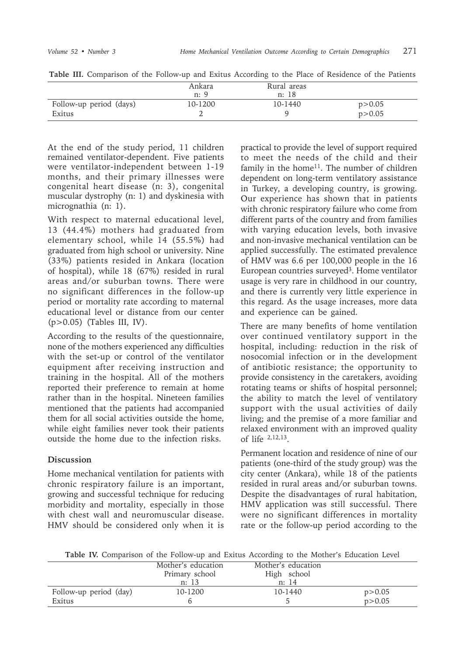|                         | Ankara<br>n: 9 | Rural areas<br>n: 18 |          |
|-------------------------|----------------|----------------------|----------|
| Follow-up period (days) | 10-1200        | 10-1440              | p > 0.05 |
| Exitus                  |                |                      | p > 0.05 |

**Table III.** Comparison of the Follow-up and Exitus According to the Place of Residence of the Patients

At the end of the study period, 11 children remained ventilator-dependent. Five patients were ventilator-independent between 1-19 months, and their primary illnesses were congenital heart disease (n: 3), congenital muscular dystrophy (n: 1) and dyskinesia with micrognathia (n: 1).

With respect to maternal educational level, 13 (44.4%) mothers had graduated from elementary school, while 14 (55.5%) had graduated from high school or university. Nine (33%) patients resided in Ankara (location of hospital), while 18 (67%) resided in rural areas and/or suburban towns. There were no significant differences in the follow-up period or mortality rate according to maternal educational level or distance from our center (p>0.05) (Tables III, IV).

According to the results of the questionnaire, none of the mothers experienced any difficulties with the set-up or control of the ventilator equipment after receiving instruction and training in the hospital. All of the mothers reported their preference to remain at home rather than in the hospital. Nineteen families mentioned that the patients had accompanied them for all social activities outside the home, while eight families never took their patients outside the home due to the infection risks.

## **Discussion**

Home mechanical ventilation for patients with chronic respiratory failure is an important, growing and successful technique for reducing morbidity and mortality, especially in those with chest wall and neuromuscular disease. HMV should be considered only when it is

practical to provide the level of support required to meet the needs of the child and their family in the home<sup>11</sup>. The number of children dependent on long-term ventilatory assistance in Turkey, a developing country, is growing. Our experience has shown that in patients with chronic respiratory failure who come from different parts of the country and from families with varying education levels, both invasive and non-invasive mechanical ventilation can be applied successfully. The estimated prevalence of HMV was 6.6 per 100,000 people in the 16 European countries surveyed<sup>3</sup>. Home ventilator usage is very rare in childhood in our country, and there is currently very little experience in this regard. As the usage increases, more data and experience can be gained.

There are many benefits of home ventilation over continued ventilatory support in the hospital, including: reduction in the risk of nosocomial infection or in the development of antibiotic resistance; the opportunity to provide consistency in the caretakers, avoiding rotating teams or shifts of hospital personnel; the ability to match the level of ventilatory support with the usual activities of daily living; and the premise of a more familiar and relaxed environment with an improved quality of life 2,12,13.

Permanent location and residence of nine of our patients (one-third of the study group) was the city center (Ankara), while 18 of the patients resided in rural areas and/or suburban towns. Despite the disadvantages of rural habitation, HMV application was still successful. There were no significant differences in mortality rate or the follow-up period according to the

**Table IV.** Comparison of the Follow-up and Exitus According to the Mother's Education Level

|                        | Mother's education | Mother's education |          |
|------------------------|--------------------|--------------------|----------|
|                        | Primary school     | High school        |          |
|                        | n: 13              | n: 14              |          |
| Follow-up period (day) | 10-1200            | $10 - 1440$        | p > 0.05 |
| Exitus                 |                    |                    | p > 0.05 |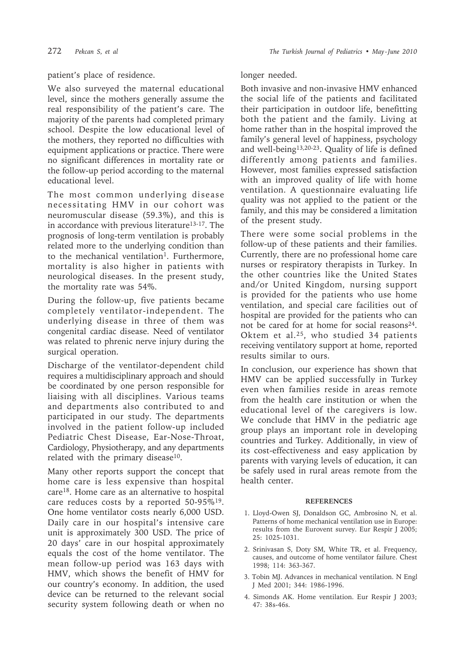## patient's place of residence.

We also surveyed the maternal educational level, since the mothers generally assume the real responsibility of the patient's care. The majority of the parents had completed primary school. Despite the low educational level of the mothers, they reported no difficulties with equipment applications or practice. There were no significant differences in mortality rate or the follow-up period according to the maternal educational level.

The most common underlying disease necessitating HMV in our cohort was neuromuscular disease (59.3%), and this is in accordance with previous literature<sup>13-17</sup>. The prognosis of long-term ventilation is probably related more to the underlying condition than to the mechanical ventilation<sup>1</sup>. Furthermore, mortality is also higher in patients with neurological diseases. In the present study, the mortality rate was 54%.

During the follow-up, five patients became completely ventilator-independent. The underlying disease in three of them was congenital cardiac disease. Need of ventilator was related to phrenic nerve injury during the surgical operation.

Discharge of the ventilator-dependent child requires a multidisciplinary approach and should be coordinated by one person responsible for liaising with all disciplines. Various teams and departments also contributed to and participated in our study. The departments involved in the patient follow-up included Pediatric Chest Disease, Ear-Nose-Throat, Cardiology, Physiotherapy, and any departments related with the primary disease<sup>10</sup>.

Many other reports support the concept that home care is less expensive than hospital care18. Home care as an alternative to hospital care reduces costs by a reported 50-95%19. One home ventilator costs nearly 6,000 USD. Daily care in our hospital's intensive care unit is approximately 300 USD. The price of 20 days' care in our hospital approximately equals the cost of the home ventilator. The mean follow-up period was 163 days with HMV, which shows the benefit of HMV for our country's economy. In addition, the used device can be returned to the relevant social security system following death or when no

### longer needed.

Both invasive and non-invasive HMV enhanced the social life of the patients and facilitated their participation in outdoor life, benefitting both the patient and the family. Living at home rather than in the hospital improved the family's general level of happiness, psychology and well-being13,20-23. Quality of life is defined differently among patients and families. However, most families expressed satisfaction with an improved quality of life with home ventilation. A questionnaire evaluating life quality was not applied to the patient or the family, and this may be considered a limitation of the present study.

There were some social problems in the follow-up of these patients and their families. Currently, there are no professional home care nurses or respiratory therapists in Turkey. In the other countries like the United States and/or United Kingdom, nursing support is provided for the patients who use home ventilation, and special care facilities out of hospital are provided for the patients who can not be cared for at home for social reasons $24$ . Oktem et al.<sup>25</sup>, who studied 34 patients receiving ventilatory support at home, reported results similar to ours.

In conclusion, our experience has shown that HMV can be applied successfully in Turkey even when families reside in areas remote from the health care institution or when the educational level of the caregivers is low. We conclude that HMV in the pediatric age group plays an important role in developing countries and Turkey. Additionally, in view of its cost-effectiveness and easy application by parents with varying levels of education, it can be safely used in rural areas remote from the health center.

#### **REFERENCES**

- 1. Lloyd-Owen SJ, Donaldson GC, Ambrosino N, et al. Patterns of home mechanical ventilation use in Europe: results from the Eurovent survey. Eur Respir J 2005; 25: 1025-1031.
- 2. Srinivasan S, Doty SM, White TR, et al. Frequency, causes, and outcome of home ventilator failure. Chest 1998; 114: 363-367.
- 3. Tobin MJ. Advances in mechanical ventilation. N Engl J Med 2001; 344: 1986-1996.
- 4. Simonds AK. Home ventilation. Eur Respir J 2003; 47: 38s-46s.